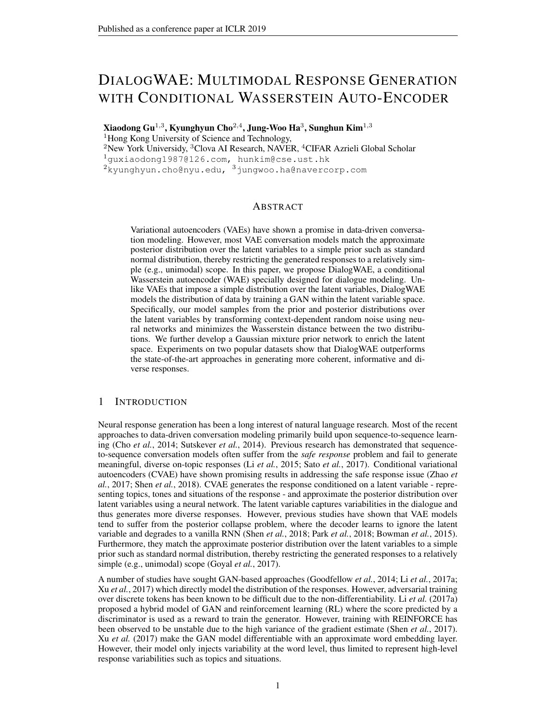# DIALOGWAE: MULTIMODAL RESPONSE GENERATION WITH CONDITIONAL WASSERSTEIN AUTO-ENCODER

Xiaodong Gu $^{1,3}$ , Kyunghyun Cho $^{2,4}$ , Jung-Woo Ha $^3$ , Sunghun Kim $^{1,3}$ <sup>1</sup>Hong Kong University of Science and Technology, <sup>2</sup>New York Universidy, <sup>3</sup>Clova AI Research, NAVER, <sup>4</sup>CIFAR Azrieli Global Scholar

1guxiaodong1987@126.com, hunkim@cse.ust.hk

 $^{2}$ kyunghyun.cho@nyu.edu,  $^{3}$ jungwoo.ha@navercorp.com

## ABSTRACT

Variational autoencoders (VAEs) have shown a promise in data-driven conversation modeling. However, most VAE conversation models match the approximate posterior distribution over the latent variables to a simple prior such as standard normal distribution, thereby restricting the generated responses to a relatively simple (e.g., unimodal) scope. In this paper, we propose DialogWAE, a conditional Wasserstein autoencoder (WAE) specially designed for dialogue modeling. Unlike VAEs that impose a simple distribution over the latent variables, DialogWAE models the distribution of data by training a GAN within the latent variable space. Specifically, our model samples from the prior and posterior distributions over the latent variables by transforming context-dependent random noise using neural networks and minimizes the Wasserstein distance between the two distributions. We further develop a Gaussian mixture prior network to enrich the latent space. Experiments on two popular datasets show that DialogWAE outperforms the state-of-the-art approaches in generating more coherent, informative and diverse responses.

## 1 INTRODUCTION

Neural response generation has been a long interest of natural language research. Most of the recent approaches to data-driven conversation modeling primarily build upon sequence-to-sequence learning (Cho *et al.*, 2014; Sutskever *et al.*, 2014). Previous research has demonstrated that sequenceto-sequence conversation models often suffer from the *safe response* problem and fail to generate meaningful, diverse on-topic responses (Li *et al.*, 2015; Sato *et al.*, 2017). Conditional variational autoencoders (CVAE) have shown promising results in addressing the safe response issue (Zhao *et al.*, 2017; Shen *et al.*, 2018). CVAE generates the response conditioned on a latent variable - representing topics, tones and situations of the response - and approximate the posterior distribution over latent variables using a neural network. The latent variable captures variabilities in the dialogue and thus generates more diverse responses. However, previous studies have shown that VAE models tend to suffer from the posterior collapse problem, where the decoder learns to ignore the latent variable and degrades to a vanilla RNN (Shen *et al.*, 2018; Park *et al.*, 2018; Bowman *et al.*, 2015). Furthermore, they match the approximate posterior distribution over the latent variables to a simple prior such as standard normal distribution, thereby restricting the generated responses to a relatively simple (e.g., unimodal) scope (Goyal *et al.*, 2017).

A number of studies have sought GAN-based approaches (Goodfellow *et al.*, 2014; Li *et al.*, 2017a; Xu *et al.*, 2017) which directly model the distribution of the responses. However, adversarial training over discrete tokens has been known to be difficult due to the non-differentiability. Li *et al.* (2017a) proposed a hybrid model of GAN and reinforcement learning (RL) where the score predicted by a discriminator is used as a reward to train the generator. However, training with REINFORCE has been observed to be unstable due to the high variance of the gradient estimate (Shen *et al.*, 2017). Xu *et al.* (2017) make the GAN model differentiable with an approximate word embedding layer. However, their model only injects variability at the word level, thus limited to represent high-level response variabilities such as topics and situations.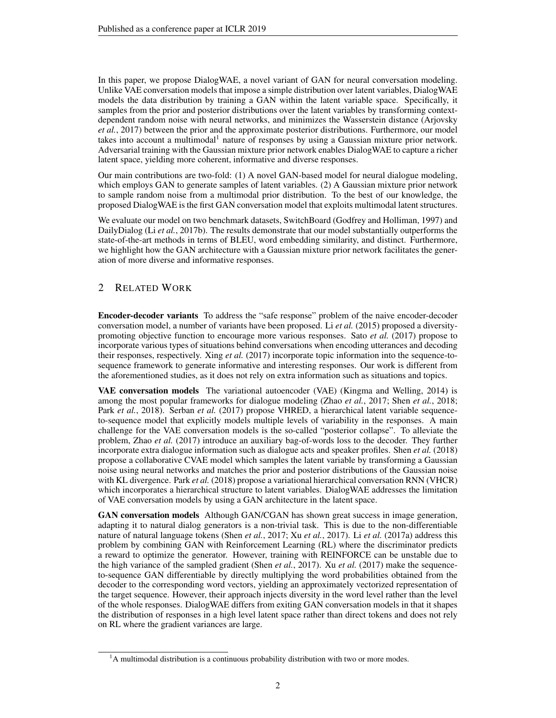In this paper, we propose DialogWAE, a novel variant of GAN for neural conversation modeling. Unlike VAE conversation models that impose a simple distribution over latent variables, DialogWAE models the data distribution by training a GAN within the latent variable space. Specifically, it samples from the prior and posterior distributions over the latent variables by transforming contextdependent random noise with neural networks, and minimizes the Wasserstein distance (Arjovsky *et al.*, 2017) between the prior and the approximate posterior distributions. Furthermore, our model takes into account a multimodal<sup>1</sup> nature of responses by using a Gaussian mixture prior network. Adversarial training with the Gaussian mixture prior network enables DialogWAE to capture a richer latent space, yielding more coherent, informative and diverse responses.

Our main contributions are two-fold: (1) A novel GAN-based model for neural dialogue modeling, which employs GAN to generate samples of latent variables. (2) A Gaussian mixture prior network to sample random noise from a multimodal prior distribution. To the best of our knowledge, the proposed DialogWAE is the first GAN conversation model that exploits multimodal latent structures.

We evaluate our model on two benchmark datasets, SwitchBoard (Godfrey and Holliman, 1997) and DailyDialog (Li *et al.*, 2017b). The results demonstrate that our model substantially outperforms the state-of-the-art methods in terms of BLEU, word embedding similarity, and distinct. Furthermore, we highlight how the GAN architecture with a Gaussian mixture prior network facilitates the generation of more diverse and informative responses.

# 2 RELATED WORK

Encoder-decoder variants To address the "safe response" problem of the naive encoder-decoder conversation model, a number of variants have been proposed. Li *et al.* (2015) proposed a diversitypromoting objective function to encourage more various responses. Sato *et al.* (2017) propose to incorporate various types of situations behind conversations when encoding utterances and decoding their responses, respectively. Xing *et al.* (2017) incorporate topic information into the sequence-tosequence framework to generate informative and interesting responses. Our work is different from the aforementioned studies, as it does not rely on extra information such as situations and topics.

VAE conversation models The variational autoencoder (VAE) (Kingma and Welling, 2014) is among the most popular frameworks for dialogue modeling (Zhao *et al.*, 2017; Shen *et al.*, 2018; Park *et al.*, 2018). Serban *et al.* (2017) propose VHRED, a hierarchical latent variable sequenceto-sequence model that explicitly models multiple levels of variability in the responses. A main challenge for the VAE conversation models is the so-called "posterior collapse". To alleviate the problem, Zhao *et al.* (2017) introduce an auxiliary bag-of-words loss to the decoder. They further incorporate extra dialogue information such as dialogue acts and speaker profiles. Shen *et al.* (2018) propose a collaborative CVAE model which samples the latent variable by transforming a Gaussian noise using neural networks and matches the prior and posterior distributions of the Gaussian noise with KL divergence. Park *et al.* (2018) propose a variational hierarchical conversation RNN (VHCR) which incorporates a hierarchical structure to latent variables. DialogWAE addresses the limitation of VAE conversation models by using a GAN architecture in the latent space.

GAN conversation models Although GAN/CGAN has shown great success in image generation, adapting it to natural dialog generators is a non-trivial task. This is due to the non-differentiable nature of natural language tokens (Shen *et al.*, 2017; Xu *et al.*, 2017). Li *et al.* (2017a) address this problem by combining GAN with Reinforcement Learning (RL) where the discriminator predicts a reward to optimize the generator. However, training with REINFORCE can be unstable due to the high variance of the sampled gradient (Shen *et al.*, 2017). Xu *et al.* (2017) make the sequenceto-sequence GAN differentiable by directly multiplying the word probabilities obtained from the decoder to the corresponding word vectors, yielding an approximately vectorized representation of the target sequence. However, their approach injects diversity in the word level rather than the level of the whole responses. DialogWAE differs from exiting GAN conversation models in that it shapes the distribution of responses in a high level latent space rather than direct tokens and does not rely on RL where the gradient variances are large.

 $<sup>1</sup>A$  multimodal distribution is a continuous probability distribution with two or more modes.</sup>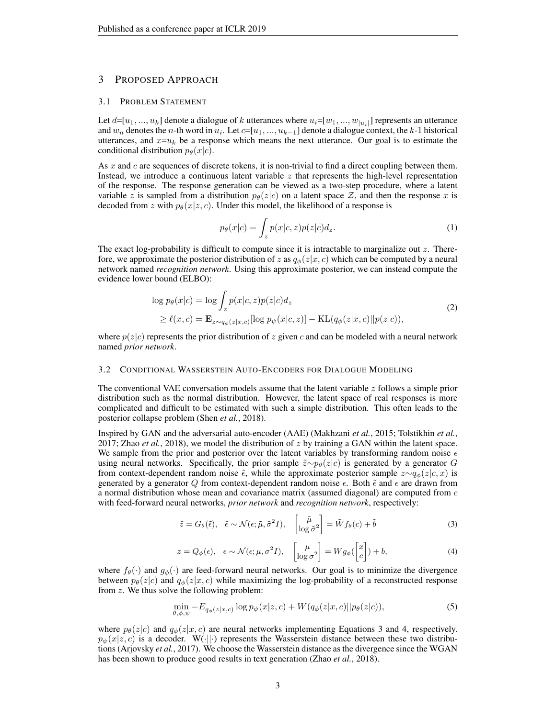## 3 PROPOSED APPROACH

#### 3.1 PROBLEM STATEMENT

Let  $d=[u_1, ..., u_k]$  denote a dialogue of k utterances where  $u_i=[w_1, ..., w_{|u_i|}]$  represents an utterance and  $w_n$  denotes the *n*-th word in  $u_i$ . Let  $c=[u_1, ..., u_{k-1}]$  denote a dialogue context, the k-1 historical utterances, and  $x=u_k$  be a response which means the next utterance. Our goal is to estimate the conditional distribution  $p_{\theta}(x|c)$ .

As  $x$  and  $c$  are sequences of discrete tokens, it is non-trivial to find a direct coupling between them. Instead, we introduce a continuous latent variable  $z$  that represents the high-level representation of the response. The response generation can be viewed as a two-step procedure, where a latent variable z is sampled from a distribution  $p_{\theta}(z|c)$  on a latent space Z, and then the response x is decoded from z with  $p_{\theta}(x|z, c)$ . Under this model, the likelihood of a response is

$$
p_{\theta}(x|c) = \int_{z} p(x|c, z)p(z|c) d_z.
$$
 (1)

The exact log-probability is difficult to compute since it is intractable to marginalize out  $z$ . Therefore, we approximate the posterior distribution of z as  $q_{\phi}(z|x, c)$  which can be computed by a neural network named *recognition network*. Using this approximate posterior, we can instead compute the evidence lower bound (ELBO):

$$
\log p_{\theta}(x|c) = \log \int_{z} p(x|c, z) p(z|c) d_z
$$
  
\n
$$
\geq \ell(x, c) = \mathbf{E}_{z \sim q_{\phi}(z|x, c)} [\log p_{\psi}(x|c, z)] - \text{KL}(q_{\phi}(z|x, c) || p(z|c)),
$$
\n(2)

where  $p(z|c)$  represents the prior distribution of z given c and can be modeled with a neural network named *prior network*.

#### 3.2 CONDITIONAL WASSERSTEIN AUTO-ENCODERS FOR DIALOGUE MODELING

The conventional VAE conversation models assume that the latent variable  $z$  follows a simple prior distribution such as the normal distribution. However, the latent space of real responses is more complicated and difficult to be estimated with such a simple distribution. This often leads to the posterior collapse problem (Shen *et al.*, 2018).

Inspired by GAN and the adversarial auto-encoder (AAE) (Makhzani *et al.*, 2015; Tolstikhin *et al.*, 2017; Zhao *et al.*, 2018), we model the distribution of  $z$  by training a GAN within the latent space. We sample from the prior and posterior over the latent variables by transforming random noise  $\epsilon$ using neural networks. Specifically, the prior sample  $\tilde{z} \sim p_\theta(z|c)$  is generated by a generator G from context-dependent random noise  $\tilde{\epsilon}$ , while the approximate posterior sample  $z \sim q_{\phi}(z|c, x)$  is generated by a generator Q from context-dependent random noise  $\epsilon$ . Both  $\tilde{\epsilon}$  and  $\epsilon$  are drawn from a normal distribution whose mean and covariance matrix (assumed diagonal) are computed from  $c$ with feed-forward neural networks, *prior network* and *recognition network*, respectively:

$$
\tilde{z} = G_{\theta}(\tilde{\epsilon}), \quad \tilde{\epsilon} \sim \mathcal{N}(\epsilon; \tilde{\mu}, \tilde{\sigma}^2 I), \quad \begin{bmatrix} \tilde{\mu} \\ \log \tilde{\sigma}^2 \end{bmatrix} = \tilde{W} f_{\theta}(c) + \tilde{b} \tag{3}
$$

$$
z = Q_{\phi}(\epsilon), \quad \epsilon \sim \mathcal{N}(\epsilon; \mu, \sigma^2 I), \quad \begin{bmatrix} \mu \\ \log \sigma^2 \end{bmatrix} = W g_{\phi}(\begin{bmatrix} x \\ c \end{bmatrix}) + b,\tag{4}
$$

where  $f_{\theta}(\cdot)$  and  $g_{\phi}(\cdot)$  are feed-forward neural networks. Our goal is to minimize the divergence between  $p_{\theta}(z|c)$  and  $q_{\phi}(z|x, c)$  while maximizing the log-probability of a reconstructed response from z. We thus solve the following problem:

$$
\min_{\theta,\phi,\psi} -E_{q_{\phi}(z|x,c)} \log p_{\psi}(x|z,c) + W(q_{\phi}(z|x,c)||p_{\theta}(z|c)),\tag{5}
$$

where  $p_{\theta}(z|c)$  and  $q_{\phi}(z|x, c)$  are neural networks implementing Equations 3 and 4, respectively.  $p_{\psi}(x|z, c)$  is a decoder. W(·||·) represents the Wasserstein distance between these two distributions (Arjovsky *et al.*, 2017). We choose the Wasserstein distance as the divergence since the WGAN has been shown to produce good results in text generation (Zhao *et al.*, 2018).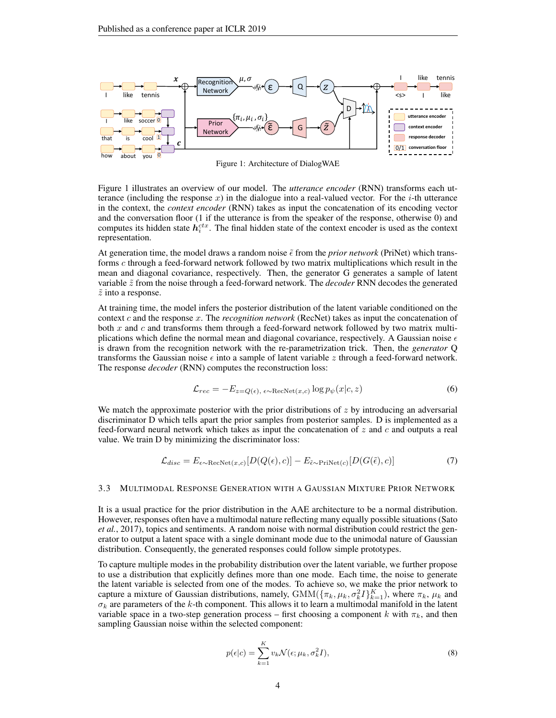

Figure 1: Architecture of DialogWAE

Figure 1 illustrates an overview of our model. The *utterance encoder* (RNN) transforms each utterance (including the response x) in the dialogue into a real-valued vector. For the  $i$ -th utterance in the context, the *context encoder* (RNN) takes as input the concatenation of its encoding vector and the conversation floor (1 if the utterance is from the speaker of the response, otherwise 0) and computes its hidden state  $h_i^{ctx}$ . The final hidden state of the context encoder is used as the context representation.

At generation time, the model draws a random noise  $\tilde{\epsilon}$  from the *prior network* (PriNet) which transforms c through a feed-forward network followed by two matrix multiplications which result in the mean and diagonal covariance, respectively. Then, the generator G generates a sample of latent variable  $\tilde{z}$  from the noise through a feed-forward network. The *decoder* RNN decodes the generated  $\tilde{z}$  into a response.

At training time, the model infers the posterior distribution of the latent variable conditioned on the context c and the response x. The *recognition network* (RecNet) takes as input the concatenation of both  $x$  and  $c$  and transforms them through a feed-forward network followed by two matrix multiplications which define the normal mean and diagonal covariance, respectively. A Gaussian noise  $\epsilon$ is drawn from the recognition network with the re-parametrization trick. Then, the *generator* Q transforms the Gaussian noise  $\epsilon$  into a sample of latent variable z through a feed-forward network. The response *decoder* (RNN) computes the reconstruction loss:

$$
\mathcal{L}_{rec} = -E_{z=Q(\epsilon),\ \epsilon \sim \text{RecNet}(x,c)} \log p_{\psi}(x|c,z)
$$
 (6)

We match the approximate posterior with the prior distributions of  $z$  by introducing an adversarial discriminator D which tells apart the prior samples from posterior samples. D is implemented as a feed-forward neural network which takes as input the concatenation of  $z$  and  $c$  and outputs a real value. We train D by minimizing the discriminator loss:

$$
\mathcal{L}_{disc} = E_{\epsilon \sim \text{RecNet}(x, c)}[D(Q(\epsilon), c)] - E_{\tilde{\epsilon} \sim \text{PriNet}(c)}[D(G(\tilde{\epsilon}), c)] \tag{7}
$$

#### 3.3 MULTIMODAL RESPONSE GENERATION WITH A GAUSSIAN MIXTURE PRIOR NETWORK

It is a usual practice for the prior distribution in the AAE architecture to be a normal distribution. However, responses often have a multimodal nature reflecting many equally possible situations (Sato *et al.*, 2017), topics and sentiments. A random noise with normal distribution could restrict the generator to output a latent space with a single dominant mode due to the unimodal nature of Gaussian distribution. Consequently, the generated responses could follow simple prototypes.

To capture multiple modes in the probability distribution over the latent variable, we further propose to use a distribution that explicitly defines more than one mode. Each time, the noise to generate the latent variable is selected from one of the modes. To achieve so, we make the prior network to capture a mixture of Gaussian distributions, namely,  $\text{GMM}(\{\pi_k, \mu_k, \sigma_k^2 I\}_{k=1}^K)$ , where  $\pi_k$ ,  $\mu_k$  and  $\sigma_k$  are parameters of the k-th component. This allows it to learn a multimodal manifold in the latent variable space in a two-step generation process – first choosing a component k with  $\pi_k$ , and then sampling Gaussian noise within the selected component:

$$
p(\epsilon|c) = \sum_{k=1}^{K} v_k \mathcal{N}(\epsilon; \mu_k, \sigma_k^2 I), \tag{8}
$$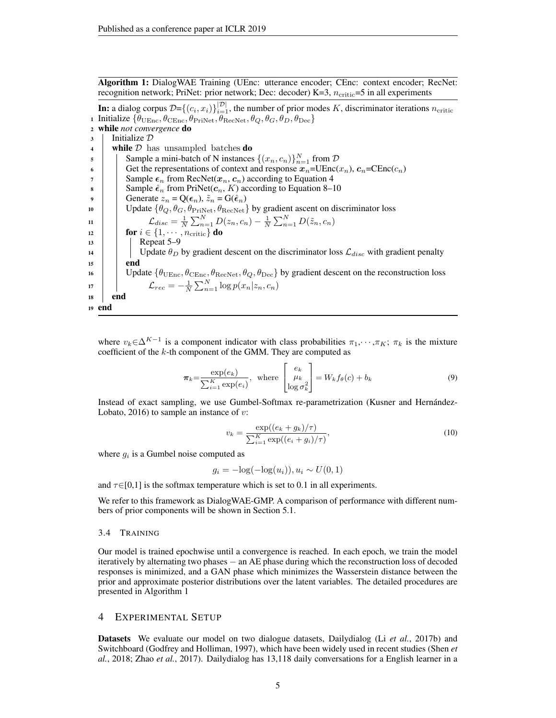Algorithm 1: DialogWAE Training (UEnc: utterance encoder; CEnc: context encoder; RecNet: recognition network; PriNet: prior network; Dec: decoder)  $K=3$ ,  $n_{\text{critic}}=5$  in all experiments

**In:** a dialog corpus  $\mathcal{D} = \{(c_i, x_i)\}_{i=1}^{|\mathcal{D}|}$ , the number of prior modes K, discriminator iterations  $n_{\text{critic}}$ 1 Initialize  $\{\theta_{\text{UEnc}}, \theta_{\text{CEnc}}, \theta_{\text{Privet}}, \theta_{\text{RecNet}}, \theta_Q, \theta_G, \theta_D, \theta_{\text{Dec}}\}$ <sup>2</sup> while *not convergence* do <sup>3</sup> Initialize D 4 | while  $\mathcal D$  has unsampled batches **do**  $\mathfrak{s}$  | Sample a mini-batch of N instances  $\{(x_n, c_n)\}_{n=1}^N$  from  $\mathcal{D}$ 6 Get the representations of context and response  $x_n = \text{UEnc}(x_n)$ ,  $c_n = \text{CEnc}(c_n)$  $\tau$  | Sample  $\epsilon_n$  from RecNet( $x_n, c_n$ ) according to Equation 4 8 | Sample  $\hat{\epsilon}_n$  from PriNet( $c_n$ , K) according to Equation 8–10 Generate  $z_n = Q(\epsilon_n)$ ,  $\tilde{z}_n = G(\hat{\epsilon}_n)$ 10 | Update  $\{\theta_Q, \theta_G, \theta_{\text{PriNet}}, \theta_{\text{RecNet}}\}$  by gradient ascent on discriminator loss 11  $\mathcal{L}_{disc} = \frac{1}{N} \sum_{n=1}^{N} D(z_n, c_n) - \frac{1}{N} \sum_{n=1}^{N} D(\tilde{z}_n, c_n)$ 12 **for**  $i \in \{1, \dots, n_{\text{critic}}\}$  do 13 | Repeat 5–9 14 Update  $\theta_D$  by gradient descent on the discriminator loss  $\mathcal{L}_{disc}$  with gradient penalty  $15$  end 16 Update  $\{\theta_{\text{UEnc}}, \theta_{\text{CEnc}}, \theta_{\text{RecNet}}, \theta_Q, \theta_{\text{Dec}}\}$  by gradient descent on the reconstruction loss 17  $\Box$ <br>17  $\Box$ <br> $\mathcal{L}_{rec} = -\frac{1}{N} \sum_{n=1}^{N} \log p(x_n | z_n, c_n)$ <sup>18</sup> end <sup>19</sup> end

where  $v_k \in \Delta^{K-1}$  is a component indicator with class probabilities  $\pi_1, \dots, \pi_K$ ;  $\pi_k$  is the mixture coefficient of the  $k$ -th component of the GMM. They are computed as

$$
\boldsymbol{\pi}_k = \frac{\exp(e_k)}{\sum_{i=1}^K \exp(e_i)}, \text{ where } \begin{bmatrix} e_k \\ \mu_k \\ \log \sigma_k^2 \end{bmatrix} = W_k f_\theta(c) + b_k \tag{9}
$$

Instead of exact sampling, we use Gumbel-Softmax re-parametrization (Kusner and Hernandez- ´ Lobato, 2016) to sample an instance of  $v$ :

$$
v_k = \frac{\exp((e_k + g_k)/\tau)}{\sum_{i=1}^K \exp((e_i + g_i)/\tau)},
$$
\n(10)

where  $g_i$  is a Gumbel noise computed as

 $g_i = -\log(-\log(u_i)), u_i \sim U(0, 1)$ 

and  $\tau \in [0,1]$  is the softmax temperature which is set to 0.1 in all experiments.

We refer to this framework as DialogWAE-GMP. A comparison of performance with different numbers of prior components will be shown in Section 5.1.

#### 3.4 TRAINING

Our model is trained epochwise until a convergence is reached. In each epoch, we train the model iteratively by alternating two phases − an AE phase during which the reconstruction loss of decoded responses is minimized, and a GAN phase which minimizes the Wasserstein distance between the prior and approximate posterior distributions over the latent variables. The detailed procedures are presented in Algorithm 1

## 4 EXPERIMENTAL SETUP

Datasets We evaluate our model on two dialogue datasets, Dailydialog (Li *et al.*, 2017b) and Switchboard (Godfrey and Holliman, 1997), which have been widely used in recent studies (Shen *et al.*, 2018; Zhao *et al.*, 2017). Dailydialog has 13,118 daily conversations for a English learner in a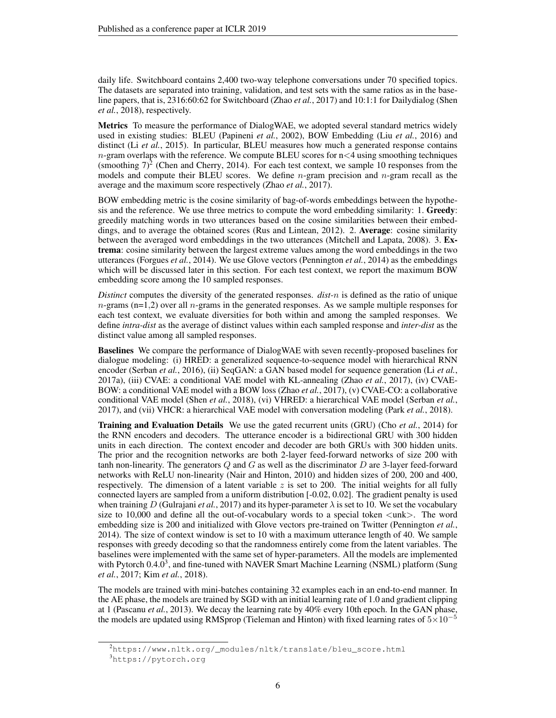daily life. Switchboard contains 2,400 two-way telephone conversations under 70 specified topics. The datasets are separated into training, validation, and test sets with the same ratios as in the baseline papers, that is, 2316:60:62 for Switchboard (Zhao *et al.*, 2017) and 10:1:1 for Dailydialog (Shen *et al.*, 2018), respectively.

Metrics To measure the performance of DialogWAE, we adopted several standard metrics widely used in existing studies: BLEU (Papineni *et al.*, 2002), BOW Embedding (Liu *et al.*, 2016) and distinct (Li *et al.*, 2015). In particular, BLEU measures how much a generated response contains  $n$ -gram overlaps with the reference. We compute BLEU scores for  $n < 4$  using smoothing techniques (smoothing  $7)^2$  (Chen and Cherry, 2014). For each test context, we sample 10 responses from the models and compute their BLEU scores. We define  $n$ -gram precision and  $n$ -gram recall as the average and the maximum score respectively (Zhao *et al.*, 2017).

BOW embedding metric is the cosine similarity of bag-of-words embeddings between the hypothesis and the reference. We use three metrics to compute the word embedding similarity: 1. Greedy: greedily matching words in two utterances based on the cosine similarities between their embeddings, and to average the obtained scores (Rus and Lintean, 2012). 2. Average: cosine similarity between the averaged word embeddings in the two utterances (Mitchell and Lapata, 2008). 3. Extrema: cosine similarity between the largest extreme values among the word embeddings in the two utterances (Forgues *et al.*, 2014). We use Glove vectors (Pennington *et al.*, 2014) as the embeddings which will be discussed later in this section. For each test context, we report the maximum BOW embedding score among the 10 sampled responses.

*Distinct* computes the diversity of the generated responses. *dist-*n is defined as the ratio of unique  $n$ -grams (n=1,2) over all  $n$ -grams in the generated responses. As we sample multiple responses for each test context, we evaluate diversities for both within and among the sampled responses. We define *intra-dist* as the average of distinct values within each sampled response and *inter-dist* as the distinct value among all sampled responses.

Baselines We compare the performance of DialogWAE with seven recently-proposed baselines for dialogue modeling: (i) HRED: a generalized sequence-to-sequence model with hierarchical RNN encoder (Serban *et al.*, 2016), (ii) SeqGAN: a GAN based model for sequence generation (Li *et al.*, 2017a), (iii) CVAE: a conditional VAE model with KL-annealing (Zhao *et al.*, 2017), (iv) CVAE-BOW: a conditional VAE model with a BOW loss (Zhao *et al.*, 2017), (v) CVAE-CO: a collaborative conditional VAE model (Shen *et al.*, 2018), (vi) VHRED: a hierarchical VAE model (Serban *et al.*, 2017), and (vii) VHCR: a hierarchical VAE model with conversation modeling (Park *et al.*, 2018).

Training and Evaluation Details We use the gated recurrent units (GRU) (Cho *et al.*, 2014) for the RNN encoders and decoders. The utterance encoder is a bidirectional GRU with 300 hidden units in each direction. The context encoder and decoder are both GRUs with 300 hidden units. The prior and the recognition networks are both 2-layer feed-forward networks of size 200 with tanh non-linearity. The generators  $Q$  and  $G$  as well as the discriminator  $D$  are 3-layer feed-forward networks with ReLU non-linearity (Nair and Hinton, 2010) and hidden sizes of 200, 200 and 400, respectively. The dimension of a latent variable  $z$  is set to 200. The initial weights for all fully connected layers are sampled from a uniform distribution [-0.02, 0.02]. The gradient penalty is used when training D (Gulrajani *et al.*, 2017) and its hyper-parameter  $\lambda$  is set to 10. We set the vocabulary size to 10,000 and define all the out-of-vocabulary words to a special token  $\langle$ unk $\rangle$ . The word embedding size is 200 and initialized with Glove vectors pre-trained on Twitter (Pennington *et al.*, 2014). The size of context window is set to 10 with a maximum utterance length of 40. We sample responses with greedy decoding so that the randomness entirely come from the latent variables. The baselines were implemented with the same set of hyper-parameters. All the models are implemented with Pytorch  $0.4.0<sup>3</sup>$ , and fine-tuned with NAVER Smart Machine Learning (NSML) platform (Sung *et al.*, 2017; Kim *et al.*, 2018).

The models are trained with mini-batches containing 32 examples each in an end-to-end manner. In the AE phase, the models are trained by SGD with an initial learning rate of 1.0 and gradient clipping at 1 (Pascanu *et al.*, 2013). We decay the learning rate by 40% every 10th epoch. In the GAN phase, the models are updated using RMSprop (Tieleman and Hinton) with fixed learning rates of  $5\times10^{-5}$ 

<sup>2</sup>https://www.nltk.org/\_modules/nltk/translate/bleu\_score.html

<sup>3</sup>https://pytorch.org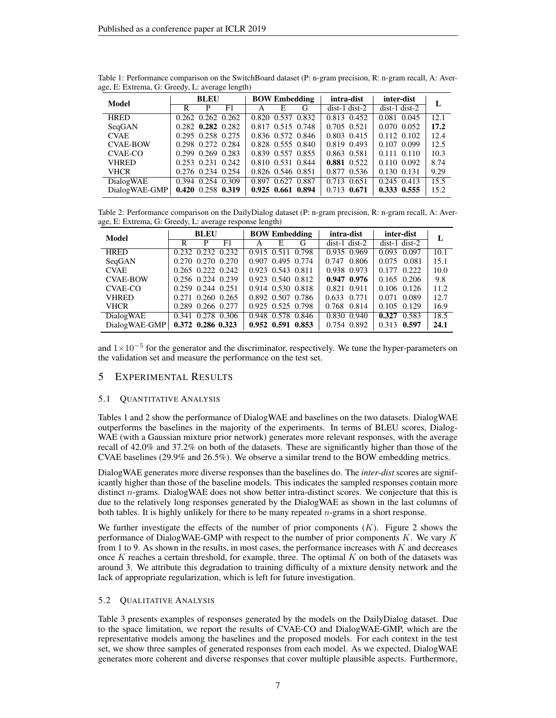| Model           | <b>BLEU</b> |   | <b>BOW Embedding</b>    |                   | intra-dist        | inter-dist        | L               |                 |      |
|-----------------|-------------|---|-------------------------|-------------------|-------------------|-------------------|-----------------|-----------------|------|
|                 | R           | P | F1                      | A                 | E                 | G                 | $dist-1 dist-2$ | $dist-1 dist-2$ |      |
| <b>HRED</b>     |             |   | $0.262$ $0.262$ $0.262$ |                   | 0.820 0.537 0.832 |                   | 0.813 0.452     | 0.081 0.045     | 12.1 |
| SeqGAN          |             |   | $0.282$ $0.282$ $0.282$ | 0.817 0.515 0.748 |                   |                   | 0.705 0.521     | $0.070$ $0.052$ | 17.2 |
| <b>CVAE</b>     |             |   | 0.295 0.258 0.275       |                   |                   | 0.836 0.572 0.846 | 0.803 0.415     | $0.112$ $0.102$ | 12.4 |
| <b>CVAE-BOW</b> |             |   | 0.298 0.272 0.284       |                   | 0.828 0.555 0.840 |                   | 0.819 0.493     | 0.107 0.099     | 12.5 |
| CVAE-CO         |             |   | 0.299 0.269 0.283       |                   | 0.839 0.557 0.855 |                   | 0.863 0.581     | $0.111$ $0.110$ | 10.3 |
| <b>VHRED</b>    |             |   | 0.253 0.231 0.242       |                   | 0.810 0.531 0.844 |                   | 0.881 0.522     | $0.110$ $0.092$ | 8.74 |
| <b>VHCR</b>     |             |   | 0.276 0.234 0.254       |                   | 0.826 0.546 0.851 |                   | 0.877 0.536     | 0.130 0.131     | 9.29 |
| DialogWAE       |             |   | 0.394 0.254 0.309       | 0.897             | 0.627 0.887       |                   | 0.713 0.651     | $0.245$ $0.413$ | 15.5 |
| DialogWAE-GMP   |             |   | $0.420$ 0.258 0.319     | 0.925 0.661 0.894 |                   |                   | 0.713 0.671     | 0.333 0.555     | 15.2 |

Table 1: Performance comparison on the SwitchBoard dataset (P: n-gram precision, R: n-gram recall, A: Average, E: Extrema, G: Greedy, L: average length)

Table 2: Performance comparison on the DailyDialog dataset (P: n-gram precision, R: n-gram recall, A: Average, E: Extrema, G: Greedy, L: average response length)

| Model            | <b>BLEU</b>             | <b>BOW Embedding</b> | intra-dist      | inter-dist               |      |
|------------------|-------------------------|----------------------|-----------------|--------------------------|------|
|                  | F1<br>р                 | Е<br>G<br>А          | $dist-1$ dist-2 | $dist-1$ dist-2          |      |
| <b>HRED</b>      | 0.232 0.232 0.232       | 0.915 0.511 0.798    | 0.935 0.969     | 0.097<br>0.093           | 10.1 |
| SeqGAN           | 0.270 0.270 0.270       | 0.907 0.495 0.774    | $0.747$ $0.806$ | 0.075<br>0.081           | 15.1 |
| <b>CVAE</b>      | $0.265$ $0.222$ $0.242$ | 0.923 0.543 0.811    | 0.938 0.973     | $0.177$ $0.222$          | 10.0 |
| <b>CVAE-BOW</b>  | 0.256 0.224 0.239       | 0.923 0.540 0.812    | 0.947 0.976     | $0.165$ 0.206            | 9.8  |
| CVAE-CO          | 0.259 0.244 0.251       | 0.914 0.530 0.818    | 0.821 0.911     | $0.106$ $0.126$          | 11.2 |
| <b>VHRED</b>     | $0.271$ $0.260$ $0.265$ | 0.892 0.507 0.786    | 0.633 0.771     | 0.071 0.089              | 12.7 |
| <b>VHCR</b>      | 0.289 0.266 0.277       | 0.925 0.525 0.798    | 0.768 0.814     | $0.105$ 0.129            | 16.9 |
| <b>DialogWAE</b> | 0.341 0.278 0.306       | 0.948 0.578 0.846    | 0.830 0.940     | $\overline{0.327}$ 0.583 | 18.5 |
| DialogWAE-GMP    | 0.372 0.286 0.323       | 0.952 0.591 0.853    | 0.754 0.892     | 0.313 0.597              | 24.1 |

and  $1 \times 10^{-5}$  for the generator and the discriminator, respectively. We tune the hyper-parameters on the validation set and measure the performance on the test set.

## 5 EXPERIMENTAL RESULTS

## 5.1 QUANTITATIVE ANALYSIS

Tables 1 and 2 show the performance of DialogWAE and baselines on the two datasets. DialogWAE outperforms the baselines in the majority of the experiments. In terms of BLEU scores, Dialog-WAE (with a Gaussian mixture prior network) generates more relevant responses, with the average recall of 42.0% and 37.2% on both of the datasets. These are significantly higher than those of the CVAE baselines (29.9% and 26.5%). We observe a similar trend to the BOW embedding metrics.

DialogWAE generates more diverse responses than the baselines do. The *inter-dist* scores are significantly higher than those of the baseline models. This indicates the sampled responses contain more distinct  $n$ -grams. DialogWAE does not show better intra-distinct scores. We conjecture that this is due to the relatively long responses generated by the DialogWAE as shown in the last columns of both tables. It is highly unlikely for there to be many repeated n-grams in a short response.

We further investigate the effects of the number of prior components  $(K)$ . Figure 2 shows the performance of DialogWAE-GMP with respect to the number of prior components  $K$ . We vary  $K$ from 1 to 9. As shown in the results, in most cases, the performance increases with  $K$  and decreases once  $K$  reaches a certain threshold, for example, three. The optimal  $K$  on both of the datasets was around 3. We attribute this degradation to training difficulty of a mixture density network and the lack of appropriate regularization, which is left for future investigation.

## 5.2 QUALITATIVE ANALYSIS

Table 3 presents examples of responses generated by the models on the DailyDialog dataset. Due to the space limitation, we report the results of CVAE-CO and DialogWAE-GMP, which are the representative models among the baselines and the proposed models. For each context in the test set, we show three samples of generated responses from each model. As we expected, DialogWAE generates more coherent and diverse responses that cover multiple plausible aspects. Furthermore,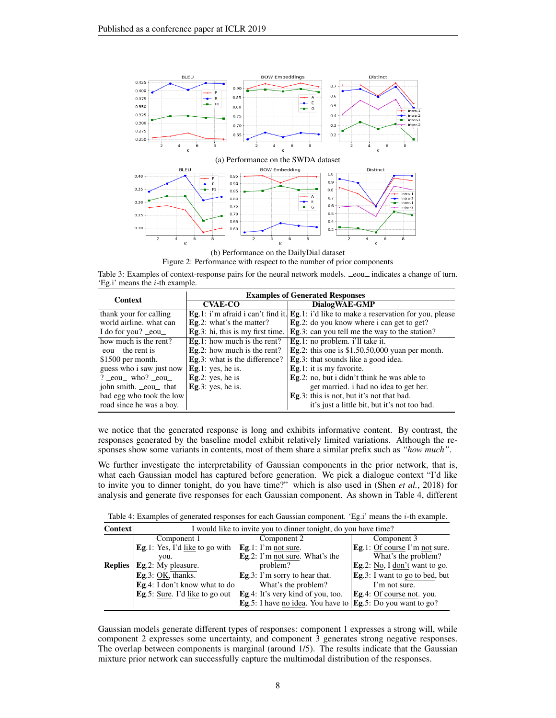

(b) Performance on the DailyDial dataset Figure 2: Performance with respect to the number of prior components

Table 3: Examples of context-response pairs for the neural network models.  $\text{\_eoul}\_$ indicates a change of turn. 'Eg.i' means the i-th example.

| <b>Context</b>                | <b>Examples of Generated Responses</b> |                                                                                        |  |  |  |
|-------------------------------|----------------------------------------|----------------------------------------------------------------------------------------|--|--|--|
|                               | <b>CVAE-CO</b>                         | DialogWAE-GMP                                                                          |  |  |  |
| thank your for calling        |                                        | Eg.1: i'm afraid i can't find it. Eg.1: i'd like to make a reservation for you, please |  |  |  |
| world airline, what can       | <b>Eg.2:</b> what's the matter?        | <b>Eg.2</b> : do you know where i can get to get?                                      |  |  |  |
| I do for you? $\_\text{eoul}$ | Eg.3: hi, this is my first time.       | Eg.3: can you tell me the way to the station?                                          |  |  |  |
| how much is the rent?         | Eg.1: how much is the rent?            | Eg.1: no problem. i'll take it.                                                        |  |  |  |
| eou the rent is               | Eg.2: how much is the rent?            | Eg.2: this one is $$1.50.50,000$ yuan per month.                                       |  |  |  |
| $$1500$ per month.            | <b>Eg.3</b> : what is the difference?  | <b>Eg.3</b> : that sounds like a good idea.                                            |  |  |  |
| guess who i saw just now      | Eg.1: yes, he is.                      | <b>Eg.1</b> : it is my favorite.                                                       |  |  |  |
| $?$ $\_eou$ who? $\_eou$      | Eg.2: yes, he is                       | Eg.2: no, but i didn't think he was able to                                            |  |  |  |
| john smith. _eou_ that        | Eg.3: yes, he is.                      | get married, i had no idea to get her.                                                 |  |  |  |
| bad egg who took the low      |                                        | <b>Eg.3</b> : this is not, but it's not that bad.                                      |  |  |  |
| road since he was a boy.      |                                        | it's just a little bit, but it's not too bad.                                          |  |  |  |

we notice that the generated response is long and exhibits informative content. By contrast, the responses generated by the baseline model exhibit relatively limited variations. Although the responses show some variants in contents, most of them share a similar prefix such as *"how much"*.

We further investigate the interpretability of Gaussian components in the prior network, that is, what each Gaussian model has captured before generation. We pick a dialogue context "I'd like to invite you to dinner tonight, do you have time?" which is also used in (Shen *et al.*, 2018) for analysis and generate five responses for each Gaussian component. As shown in Table 4, different

Table 4: Examples of generated responses for each Gaussian component. 'Eg.i' means the i-th example.

| <b>Context</b> | I would like to invite you to dinner tonight, do you have time? |                                                                     |                                        |  |  |  |  |
|----------------|-----------------------------------------------------------------|---------------------------------------------------------------------|----------------------------------------|--|--|--|--|
|                | Component 1                                                     | Component 2                                                         | Component 3                            |  |  |  |  |
|                | <b>Eg.1:</b> Yes, I'd like to go with                           | Eg.1: I'm not sure.                                                 | Eg.1: Of course I'm not sure.          |  |  |  |  |
|                | vou.                                                            | Eg.2: I'm not sure. What's the                                      | What's the problem?                    |  |  |  |  |
| <b>Replies</b> | Eg.2: My pleasure.                                              | problem?                                                            | Eg.2: No, I don't want to go.          |  |  |  |  |
|                | Eg.3: OK, thanks.                                               | Eg.3: I'm sorry to hear that.                                       | <b>Eg.3</b> : I want to go to bed, but |  |  |  |  |
|                | <b>Eg.</b> 4: I don't know what to do                           | What's the problem?                                                 | I'm not sure.                          |  |  |  |  |
|                | <b>Eg.5:</b> Sure. I'd like to go out                           | Eg.4: It's very kind of you, too.                                   | <b>Eg.</b> 4: Of course not. you.      |  |  |  |  |
|                |                                                                 | Eg.5: I have no idea. You have to $\text{Eg.5: Do you want to go?}$ |                                        |  |  |  |  |

Gaussian models generate different types of responses: component 1 expresses a strong will, while component 2 expresses some uncertainty, and component 3 generates strong negative responses. The overlap between components is marginal (around 1/5). The results indicate that the Gaussian mixture prior network can successfully capture the multimodal distribution of the responses.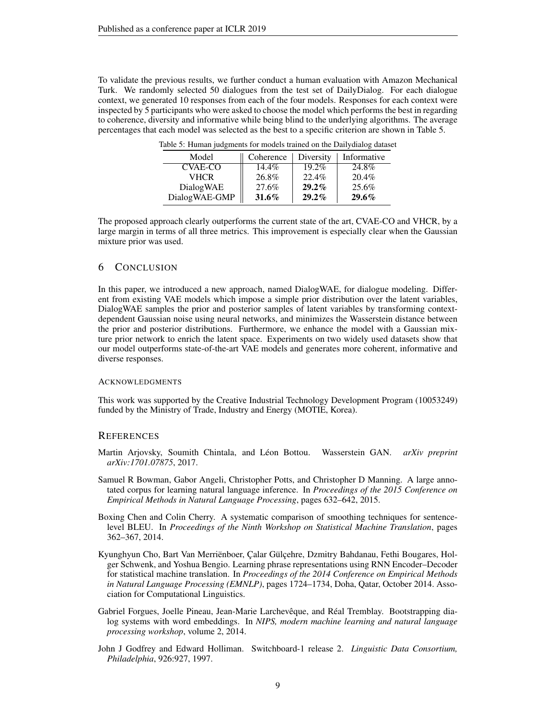To validate the previous results, we further conduct a human evaluation with Amazon Mechanical Turk. We randomly selected 50 dialogues from the test set of DailyDialog. For each dialogue context, we generated 10 responses from each of the four models. Responses for each context were inspected by 5 participants who were asked to choose the model which performs the best in regarding to coherence, diversity and informative while being blind to the underlying algorithms. The average percentages that each model was selected as the best to a specific criterion are shown in Table 5.

| Model         | Coherence | Diversity | Informative |
|---------------|-----------|-----------|-------------|
| CVAE-CO       | $14.4\%$  | $19.2\%$  | 24.8%       |
| <b>VHCR</b>   | 26.8%     | 22.4%     | $20.4\%$    |
| DialogWAE     | 27.6%     | $29.2\%$  | 25.6%       |
| DialogWAE-GMP | $31.6\%$  | $29.2\%$  | $29.6\%$    |

Table 5: Human judgments for models trained on the Dailydialog dataset

The proposed approach clearly outperforms the current state of the art, CVAE-CO and VHCR, by a large margin in terms of all three metrics. This improvement is especially clear when the Gaussian mixture prior was used.

## 6 CONCLUSION

In this paper, we introduced a new approach, named DialogWAE, for dialogue modeling. Different from existing VAE models which impose a simple prior distribution over the latent variables, DialogWAE samples the prior and posterior samples of latent variables by transforming contextdependent Gaussian noise using neural networks, and minimizes the Wasserstein distance between the prior and posterior distributions. Furthermore, we enhance the model with a Gaussian mixture prior network to enrich the latent space. Experiments on two widely used datasets show that our model outperforms state-of-the-art VAE models and generates more coherent, informative and diverse responses.

#### **ACKNOWLEDGMENTS**

This work was supported by the Creative Industrial Technology Development Program (10053249) funded by the Ministry of Trade, Industry and Energy (MOTIE, Korea).

### **REFERENCES**

- Martin Arjovsky, Soumith Chintala, and Leon Bottou. Wasserstein GAN. ´ *arXiv preprint arXiv:1701.07875*, 2017.
- Samuel R Bowman, Gabor Angeli, Christopher Potts, and Christopher D Manning. A large annotated corpus for learning natural language inference. In *Proceedings of the 2015 Conference on Empirical Methods in Natural Language Processing*, pages 632–642, 2015.
- Boxing Chen and Colin Cherry. A systematic comparison of smoothing techniques for sentencelevel BLEU. In *Proceedings of the Ninth Workshop on Statistical Machine Translation*, pages 362–367, 2014.
- Kyunghyun Cho, Bart Van Merriënboer, Çalar Gülçehre, Dzmitry Bahdanau, Fethi Bougares, Holger Schwenk, and Yoshua Bengio. Learning phrase representations using RNN Encoder–Decoder for statistical machine translation. In *Proceedings of the 2014 Conference on Empirical Methods in Natural Language Processing (EMNLP)*, pages 1724–1734, Doha, Qatar, October 2014. Association for Computational Linguistics.
- Gabriel Forgues, Joelle Pineau, Jean-Marie Larchevêque, and Réal Tremblay. Bootstrapping dialog systems with word embeddings. In *NIPS, modern machine learning and natural language processing workshop*, volume 2, 2014.
- John J Godfrey and Edward Holliman. Switchboard-1 release 2. *Linguistic Data Consortium, Philadelphia*, 926:927, 1997.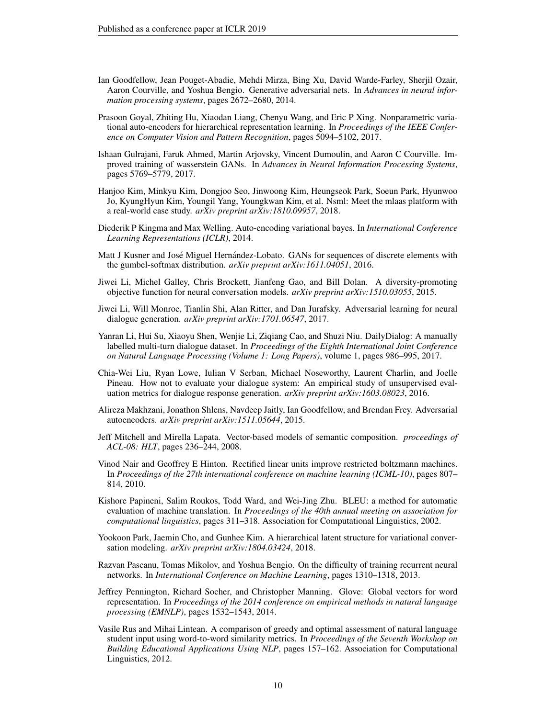- Ian Goodfellow, Jean Pouget-Abadie, Mehdi Mirza, Bing Xu, David Warde-Farley, Sherjil Ozair, Aaron Courville, and Yoshua Bengio. Generative adversarial nets. In *Advances in neural information processing systems*, pages 2672–2680, 2014.
- Prasoon Goyal, Zhiting Hu, Xiaodan Liang, Chenyu Wang, and Eric P Xing. Nonparametric variational auto-encoders for hierarchical representation learning. In *Proceedings of the IEEE Conference on Computer Vision and Pattern Recognition*, pages 5094–5102, 2017.
- Ishaan Gulrajani, Faruk Ahmed, Martin Arjovsky, Vincent Dumoulin, and Aaron C Courville. Improved training of wasserstein GANs. In *Advances in Neural Information Processing Systems*, pages 5769–5779, 2017.
- Hanjoo Kim, Minkyu Kim, Dongjoo Seo, Jinwoong Kim, Heungseok Park, Soeun Park, Hyunwoo Jo, KyungHyun Kim, Youngil Yang, Youngkwan Kim, et al. Nsml: Meet the mlaas platform with a real-world case study. *arXiv preprint arXiv:1810.09957*, 2018.
- Diederik P Kingma and Max Welling. Auto-encoding variational bayes. In *International Conference Learning Representations (ICLR)*, 2014.
- Matt J Kusner and José Miguel Hernández-Lobato. GANs for sequences of discrete elements with the gumbel-softmax distribution. *arXiv preprint arXiv:1611.04051*, 2016.
- Jiwei Li, Michel Galley, Chris Brockett, Jianfeng Gao, and Bill Dolan. A diversity-promoting objective function for neural conversation models. *arXiv preprint arXiv:1510.03055*, 2015.
- Jiwei Li, Will Monroe, Tianlin Shi, Alan Ritter, and Dan Jurafsky. Adversarial learning for neural dialogue generation. *arXiv preprint arXiv:1701.06547*, 2017.
- Yanran Li, Hui Su, Xiaoyu Shen, Wenjie Li, Ziqiang Cao, and Shuzi Niu. DailyDialog: A manually labelled multi-turn dialogue dataset. In *Proceedings of the Eighth International Joint Conference on Natural Language Processing (Volume 1: Long Papers)*, volume 1, pages 986–995, 2017.
- Chia-Wei Liu, Ryan Lowe, Iulian V Serban, Michael Noseworthy, Laurent Charlin, and Joelle Pineau. How not to evaluate your dialogue system: An empirical study of unsupervised evaluation metrics for dialogue response generation. *arXiv preprint arXiv:1603.08023*, 2016.
- Alireza Makhzani, Jonathon Shlens, Navdeep Jaitly, Ian Goodfellow, and Brendan Frey. Adversarial autoencoders. *arXiv preprint arXiv:1511.05644*, 2015.
- Jeff Mitchell and Mirella Lapata. Vector-based models of semantic composition. *proceedings of ACL-08: HLT*, pages 236–244, 2008.
- Vinod Nair and Geoffrey E Hinton. Rectified linear units improve restricted boltzmann machines. In *Proceedings of the 27th international conference on machine learning (ICML-10)*, pages 807– 814, 2010.
- Kishore Papineni, Salim Roukos, Todd Ward, and Wei-Jing Zhu. BLEU: a method for automatic evaluation of machine translation. In *Proceedings of the 40th annual meeting on association for computational linguistics*, pages 311–318. Association for Computational Linguistics, 2002.
- Yookoon Park, Jaemin Cho, and Gunhee Kim. A hierarchical latent structure for variational conversation modeling. *arXiv preprint arXiv:1804.03424*, 2018.
- Razvan Pascanu, Tomas Mikolov, and Yoshua Bengio. On the difficulty of training recurrent neural networks. In *International Conference on Machine Learning*, pages 1310–1318, 2013.
- Jeffrey Pennington, Richard Socher, and Christopher Manning. Glove: Global vectors for word representation. In *Proceedings of the 2014 conference on empirical methods in natural language processing (EMNLP)*, pages 1532–1543, 2014.
- Vasile Rus and Mihai Lintean. A comparison of greedy and optimal assessment of natural language student input using word-to-word similarity metrics. In *Proceedings of the Seventh Workshop on Building Educational Applications Using NLP*, pages 157–162. Association for Computational Linguistics, 2012.